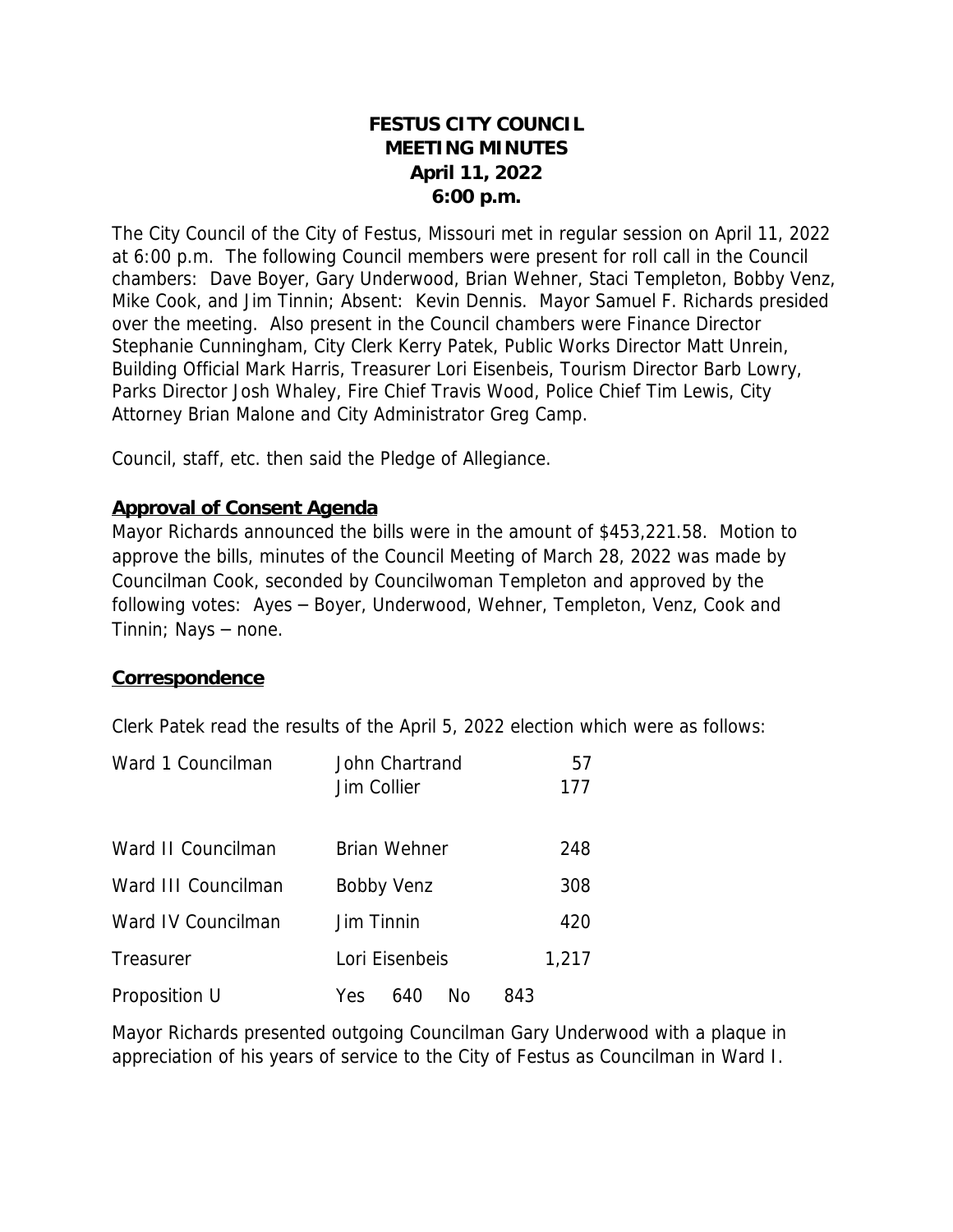# **FESTUS CITY COUNCIL MEETING MINUTES April 11, 2022 6:00 p.m.**

The City Council of the City of Festus, Missouri met in regular session on April 11, 2022 at 6:00 p.m. The following Council members were present for roll call in the Council chambers: Dave Boyer, Gary Underwood, Brian Wehner, Staci Templeton, Bobby Venz, Mike Cook, and Jim Tinnin; Absent: Kevin Dennis. Mayor Samuel F. Richards presided over the meeting. Also present in the Council chambers were Finance Director Stephanie Cunningham, City Clerk Kerry Patek, Public Works Director Matt Unrein, Building Official Mark Harris, Treasurer Lori Eisenbeis, Tourism Director Barb Lowry, Parks Director Josh Whaley, Fire Chief Travis Wood, Police Chief Tim Lewis, City Attorney Brian Malone and City Administrator Greg Camp.

Council, staff, etc. then said the Pledge of Allegiance.

### **Approval of Consent Agenda**

Mayor Richards announced the bills were in the amount of \$453,221.58. Motion to approve the bills, minutes of the Council Meeting of March 28, 2022 was made by Councilman Cook, seconded by Councilwoman Templeton and approved by the following votes: Ayes – Boyer, Underwood, Wehner, Templeton, Venz, Cook and Tinnin; Nays – none.

#### **Correspondence**

Clerk Patek read the results of the April 5, 2022 election which were as follows:

| Ward 1 Councilman   | John Chartrand<br>Jim Collier | 57<br>177 |
|---------------------|-------------------------------|-----------|
| Ward II Councilman  | <b>Brian Wehner</b>           | 248       |
| Ward III Councilman | Bobby Venz                    | 308       |
| Ward IV Councilman  | Jim Tinnin                    | 420       |
| Treasurer           | Lori Eisenbeis                | 1,217     |
| Proposition U       | No<br>640<br>Yes              | 843       |

Mayor Richards presented outgoing Councilman Gary Underwood with a plaque in appreciation of his years of service to the City of Festus as Councilman in Ward I.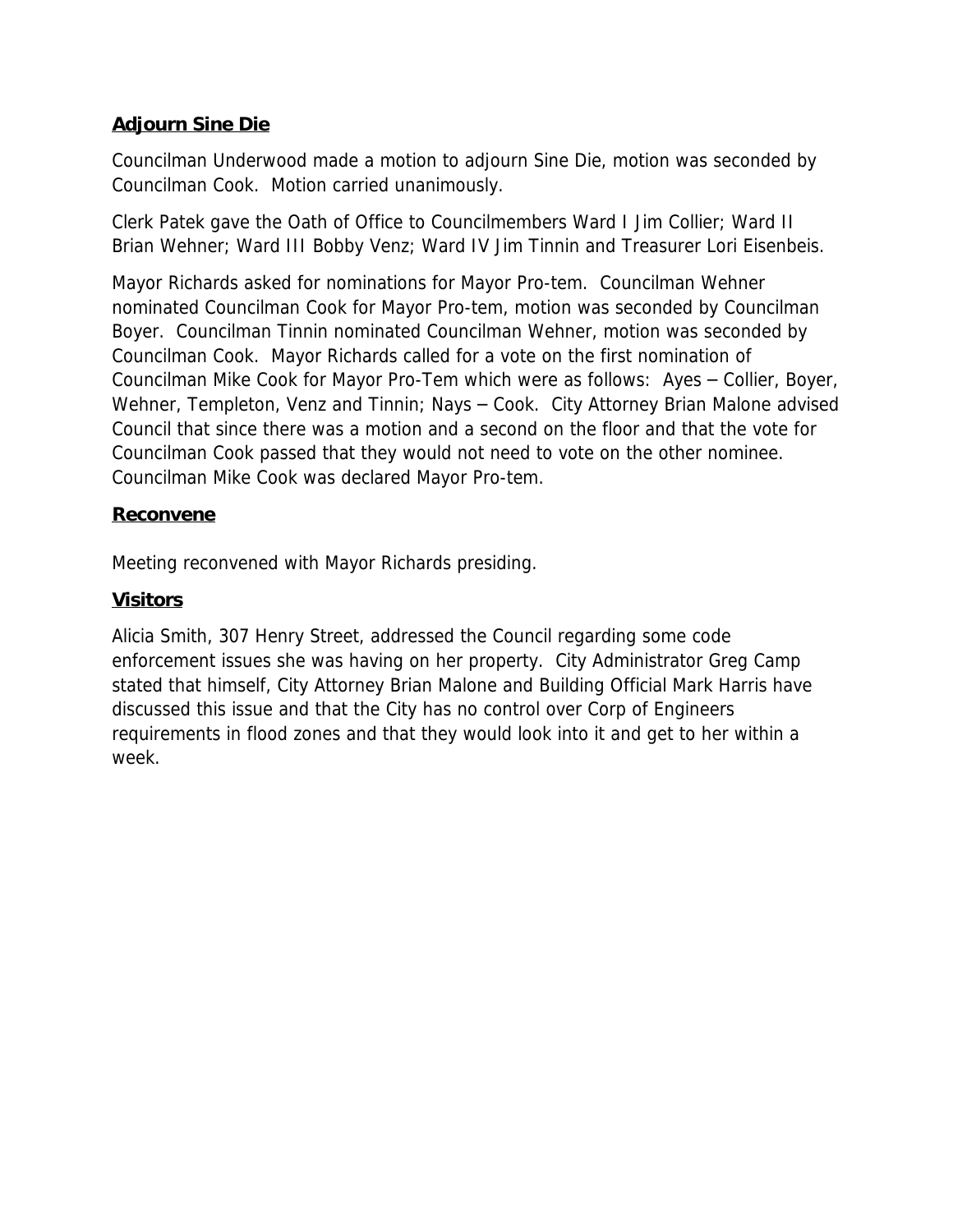# **Adjourn Sine Die**

Councilman Underwood made a motion to adjourn Sine Die, motion was seconded by Councilman Cook. Motion carried unanimously.

Clerk Patek gave the Oath of Office to Councilmembers Ward I Jim Collier; Ward II Brian Wehner; Ward III Bobby Venz; Ward IV Jim Tinnin and Treasurer Lori Eisenbeis.

Mayor Richards asked for nominations for Mayor Pro-tem. Councilman Wehner nominated Councilman Cook for Mayor Pro-tem, motion was seconded by Councilman Boyer. Councilman Tinnin nominated Councilman Wehner, motion was seconded by Councilman Cook. Mayor Richards called for a vote on the first nomination of Councilman Mike Cook for Mayor Pro-Tem which were as follows: Ayes – Collier, Boyer, Wehner, Templeton, Venz and Tinnin; Nays – Cook. City Attorney Brian Malone advised Council that since there was a motion and a second on the floor and that the vote for Councilman Cook passed that they would not need to vote on the other nominee. Councilman Mike Cook was declared Mayor Pro-tem.

#### **Reconvene**

Meeting reconvened with Mayor Richards presiding.

## **Visitors**

Alicia Smith, 307 Henry Street, addressed the Council regarding some code enforcement issues she was having on her property. City Administrator Greg Camp stated that himself, City Attorney Brian Malone and Building Official Mark Harris have discussed this issue and that the City has no control over Corp of Engineers requirements in flood zones and that they would look into it and get to her within a week.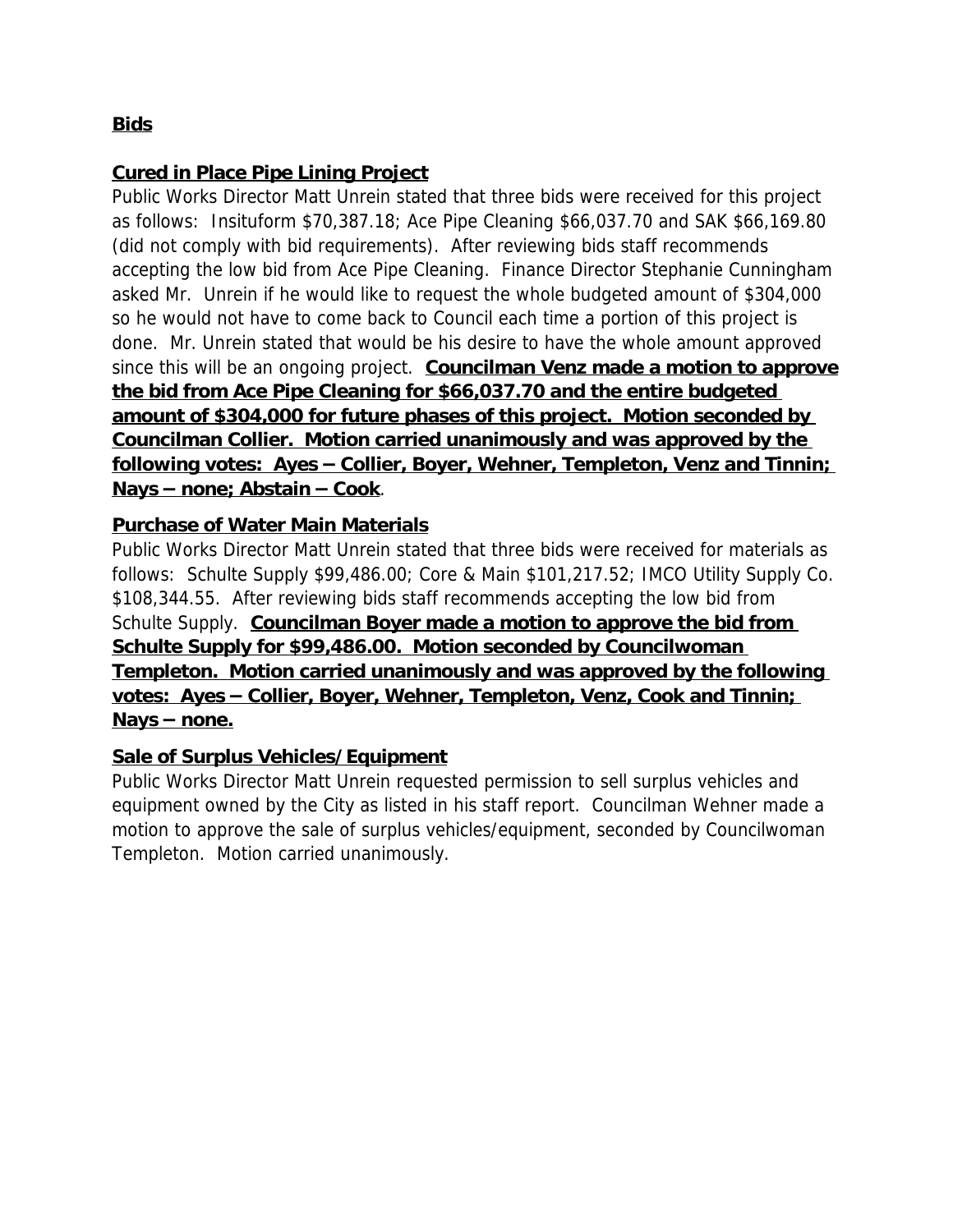# **Bids**

## **Cured in Place Pipe Lining Project**

Public Works Director Matt Unrein stated that three bids were received for this project as follows: Insituform \$70,387.18; Ace Pipe Cleaning \$66,037.70 and SAK \$66,169.80 (did not comply with bid requirements). After reviewing bids staff recommends accepting the low bid from Ace Pipe Cleaning. Finance Director Stephanie Cunningham asked Mr. Unrein if he would like to request the whole budgeted amount of \$304,000 so he would not have to come back to Council each time a portion of this project is done. Mr. Unrein stated that would be his desire to have the whole amount approved since this will be an ongoing project. *Councilman Venz made a motion to approve the bid from Ace Pipe Cleaning for \$66,037.70 and the entire budgeted amount of \$304,000 for future phases of this project. Motion seconded by Councilman Collier. Motion carried unanimously and was approved by the following votes: Ayes* **–** *Collier, Boyer, Wehner, Templeton, Venz and Tinnin; Nays* **–** *none; Abstain* **–** *Cook*.

## **Purchase of Water Main Materials**

Public Works Director Matt Unrein stated that three bids were received for materials as follows: Schulte Supply \$99,486.00; Core & Main \$101,217.52; IMCO Utility Supply Co. \$108,344.55. After reviewing bids staff recommends accepting the low bid from Schulte Supply. *Councilman Boyer made a motion to approve the bid from Schulte Supply for \$99,486.00. Motion seconded by Councilwoman Templeton. Motion carried unanimously and was approved by the following votes: Ayes* **–** *Collier, Boyer, Wehner, Templeton, Venz, Cook and Tinnin; Nays* **–** *none.*

### **Sale of Surplus Vehicles/Equipment**

Public Works Director Matt Unrein requested permission to sell surplus vehicles and equipment owned by the City as listed in his staff report. Councilman Wehner made a motion to approve the sale of surplus vehicles/equipment, seconded by Councilwoman Templeton. Motion carried unanimously.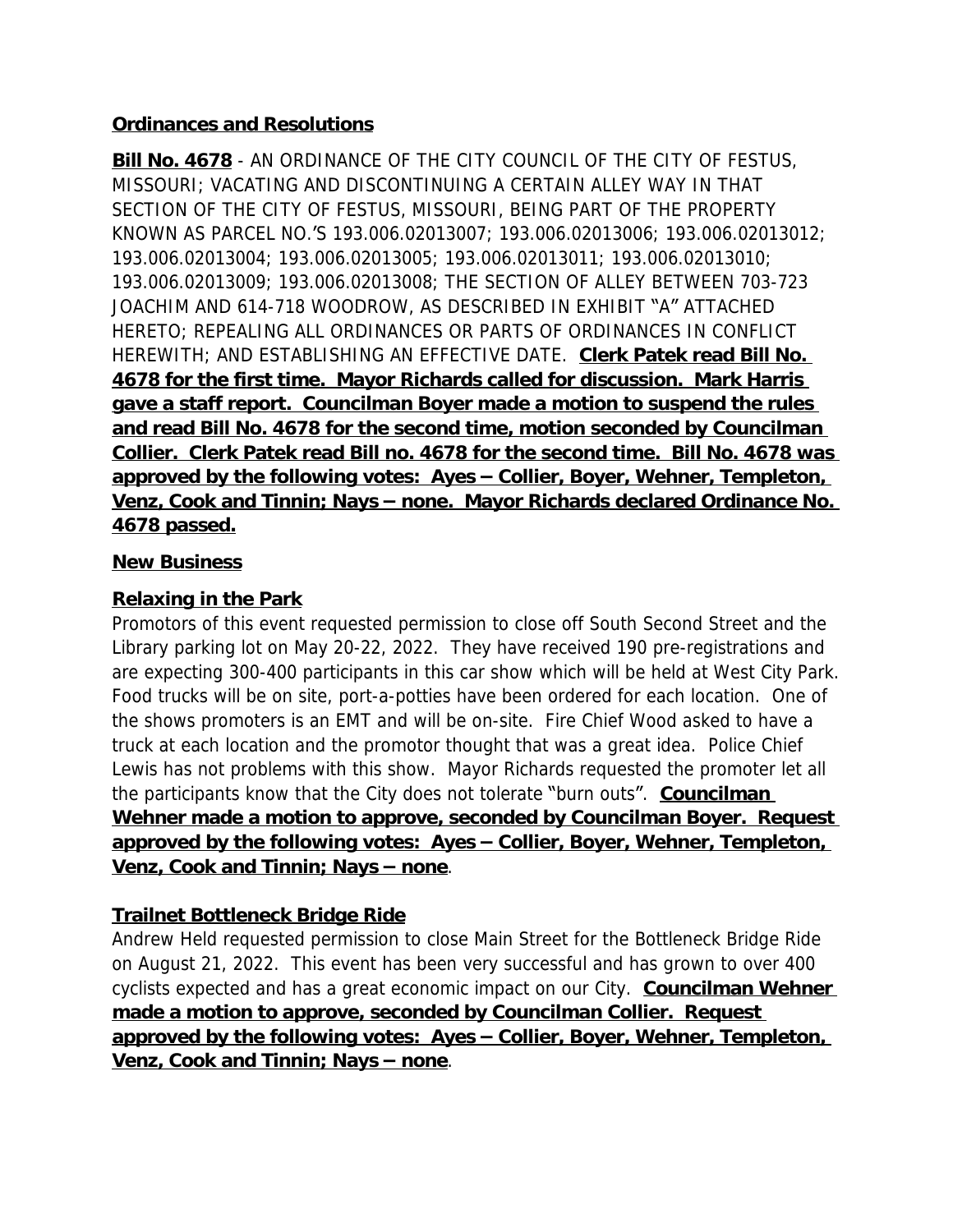## **Ordinances and Resolutions**

**Bill No. 4678** - AN ORDINANCE OF THE CITY COUNCIL OF THE CITY OF FESTUS, MISSOURI; VACATING AND DISCONTINUING A CERTAIN ALLEY WAY IN THAT SECTION OF THE CITY OF FESTUS, MISSOURI, BEING PART OF THE PROPERTY KNOWN AS PARCEL NO.'S 193.006.02013007; 193.006.02013006; 193.006.02013012; 193.006.02013004; 193.006.02013005; 193.006.02013011; 193.006.02013010; 193.006.02013009; 193.006.02013008; THE SECTION OF ALLEY BETWEEN 703-723 JOACHIM AND 614-718 WOODROW, AS DESCRIBED IN EXHIBIT "A" ATTACHED HERETO; REPEALING ALL ORDINANCES OR PARTS OF ORDINANCES IN CONFLICT HEREWITH; AND ESTABLISHING AN EFFECTIVE DATE. *Clerk Patek read Bill No. 4678 for the first time. Mayor Richards called for discussion. Mark Harris gave a staff report. Councilman Boyer made a motion to suspend the rules*  and read Bill No. 4678 for the second time, motion seconded by Councilman *Collier. Clerk Patek read Bill no. 4678 for the second time. Bill No. 4678 was approved by the following votes: Ayes* **–** *Collier, Boyer, Wehner, Templeton, Venz, Cook and Tinnin; Nays* **–** *none. Mayor Richards declared Ordinance No. 4678 passed.*

#### **New Business**

# **Relaxing in the Park**

Promotors of this event requested permission to close off South Second Street and the Library parking lot on May 20-22, 2022. They have received 190 pre-registrations and are expecting 300-400 participants in this car show which will be held at West City Park. Food trucks will be on site, port-a-potties have been ordered for each location. One of the shows promoters is an EMT and will be on-site. Fire Chief Wood asked to have a truck at each location and the promotor thought that was a great idea. Police Chief Lewis has not problems with this show. Mayor Richards requested the promoter let all the participants know that the City does not tolerate "burn outs". *Councilman Wehner made a motion to approve, seconded by Councilman Boyer. Request approved by the following votes: Ayes* **–** *Collier, Boyer, Wehner, Templeton, Venz, Cook and Tinnin; Nays* **–** *none*.

# **Trailnet Bottleneck Bridge Ride**

Andrew Held requested permission to close Main Street for the Bottleneck Bridge Ride on August 21, 2022. This event has been very successful and has grown to over 400 cyclists expected and has a great economic impact on our City. *Councilman Wehner made a motion to approve, seconded by Councilman Collier. Request approved by the following votes: Ayes* **–** *Collier, Boyer, Wehner, Templeton, Venz, Cook and Tinnin; Nays* **–** *none*.